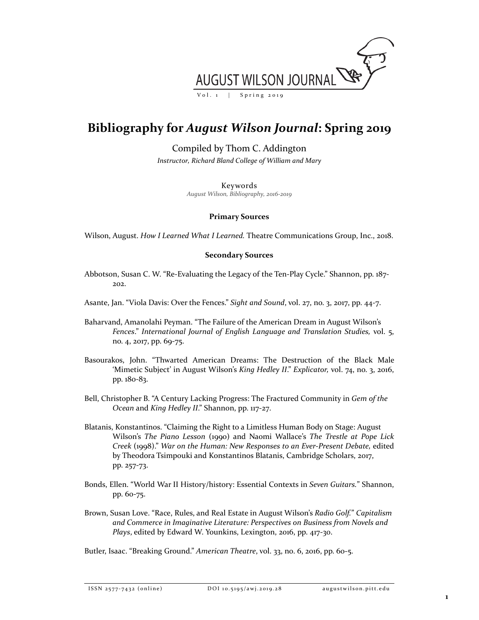

## **Bibliography for** *August Wilson Journal***: Spring 2019**

Compiled by Thom C. Addington

*Instructor, Richard Bland College of William and Mary*

Keywords

*August Wilson, Bibliography, 2016-2019*

## **Primary Sources**

Wilson, August. *How I Learned What I Learned.* Theatre Communications Group, Inc., 2018.

## **Secondary Sources**

- Abbotson, Susan C. W. "Re-Evaluating the Legacy of the Ten-Play Cycle." Shannon, pp. 187- 202.
- Asante, Jan. "Viola Davis: Over the Fences." *Sight and Sound*, vol. 27, no. 3, 2017, pp. 44-7.
- Baharvand, Amanolahi Peyman. "The Failure of the American Dream in August Wilson's *Fences*." *International Journal of English Language and Translation Studies,* vol. 5, no. 4, 2017, pp. 69-75.
- Basourakos, John. "Thwarted American Dreams: The Destruction of the Black Male 'Mimetic Subject' in August Wilson's *King Hedley II*." *Explicator,* vol. 74, no. 3, 2016, pp. 180-83.
- Bell, Christopher B. "A Century Lacking Progress: The Fractured Community in *Gem of the Ocean* and *King Hedley II*." Shannon, pp. 117-27.
- Blatanis, Konstantinos. "Claiming the Right to a Limitless Human Body on Stage: August Wilson's *The Piano Lesson* (1990) and Naomi Wallace's *The Trestle at Pope Lick Creek* (1998)." *War on the Human: New Responses to an Ever-Present Debate,* edited by Theodora Tsimpouki and Konstantinos Blatanis, Cambridge Scholars, 2017, pp. 257-73.
- Bonds, Ellen. "World War II History/history: Essential Contexts in *Seven Guitars.*" Shannon, pp. 60-75.
- Brown, Susan Love. "Race, Rules, and Real Estate in August Wilson's *Radio Golf.*" *Capitalism and Commerce in Imaginative Literature: Perspectives on Business from Novels and Plays*, edited by Edward W. Younkins, Lexington, 2016, pp. 417-30.

Butler, Isaac. "Breaking Ground." *American Theatre*, vol. 33, no. 6, 2016, pp. 60-5.

ISSN 2577 - 7432 (online) DOI 10.5195/awj. 2019 . 2 8 augustwilson.pitt.edu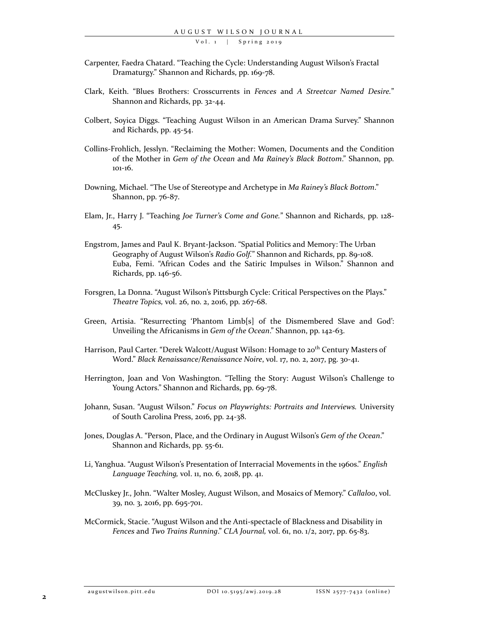Vol. 1 | Spring 2019

- Carpenter, Faedra Chatard. "Teaching the Cycle: Understanding August Wilson's Fractal Dramaturgy." Shannon and Richards, pp. 169-78.
- Clark, Keith. "Blues Brothers: Crosscurrents in *Fences* and *A Streetcar Named Desire.*" Shannon and Richards, pp. 32-44.
- Colbert, Soyica Diggs. "Teaching August Wilson in an American Drama Survey." Shannon and Richards, pp. 45-54.
- Collins-Frohlich, Jesslyn. "Reclaiming the Mother: Women, Documents and the Condition of the Mother in *Gem of the Ocean* and *Ma Rainey's Black Bottom*." Shannon, pp. 101-16.
- Downing, Michael. "The Use of Stereotype and Archetype in *Ma Rainey's Black Bottom*." Shannon, pp. 76-87.
- Elam, Jr., Harry J. "Teaching *Joe Turner's Come and Gone.*" Shannon and Richards, pp. 128- 45.
- Engstrom, James and Paul K. Bryant-Jackson. "Spatial Politics and Memory: The Urban Geography of August Wilson's *Radio Golf.*" Shannon and Richards, pp. 89-108. Euba, Femi. "African Codes and the Satiric Impulses in Wilson." Shannon and Richards, pp. 146-56.
- Forsgren, La Donna. "August Wilson's Pittsburgh Cycle: Critical Perspectives on the Plays." *Theatre Topics,* vol. 26, no. 2, 2016, pp. 267-68.
- Green, Artisia. "Resurrecting 'Phantom Limb[s] of the Dismembered Slave and God': Unveiling the Africanisms in *Gem of the Ocean*." Shannon, pp. 142-63.
- Harrison, Paul Carter. "Derek Walcott/August Wilson: Homage to 20<sup>th</sup> Century Masters of Word." *Black Renaissance/Renaissance Noire*, vol. 17, no. 2, 2017, pg. 30-41.
- Herrington, Joan and Von Washington. "Telling the Story: August Wilson's Challenge to Young Actors." Shannon and Richards, pp. 69-78.
- Johann, Susan. "August Wilson." *Focus on Playwrights: Portraits and Interviews.* University of South Carolina Press, 2016, pp. 24-38.
- Jones, Douglas A. "Person, Place, and the Ordinary in August Wilson's *Gem of the Ocean*." Shannon and Richards, pp. 55-61.
- Li, Yanghua. "August Wilson's Presentation of Interracial Movements in the 1960s." *English Language Teaching,* vol. 11, no. 6, 2018, pp. 41.
- McCluskey Jr., John. "Walter Mosley, August Wilson, and Mosaics of Memory." *Callaloo*, vol. 39, no. 3, 2016, pp. 695-701.
- McCormick, Stacie. "August Wilson and the Anti-spectacle of Blackness and Disability in *Fences* and *Two Trains Running*." *CLA Journal,* vol. 61, no. 1/2, 2017, pp. 65-83.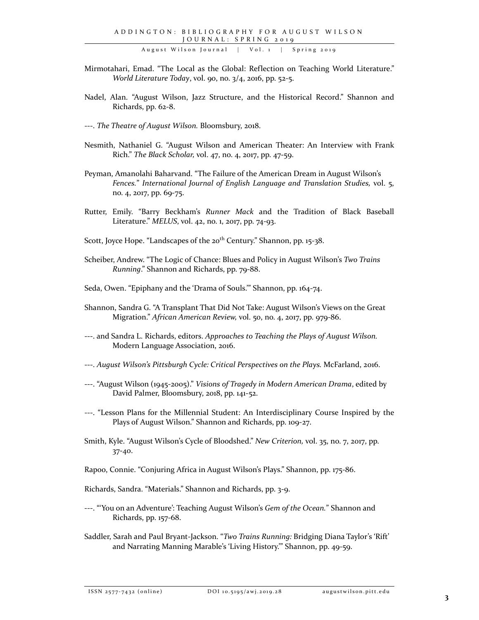August Wilson Journal | Vol. 1 | Spring 2019

- Mirmotahari, Emad. "The Local as the Global: Reflection on Teaching World Literature." *World Literature Today*, vol. 90, no. 3/4, 2016, pp. 52-5.
- Nadel, Alan. "August Wilson, Jazz Structure, and the Historical Record." Shannon and Richards, pp. 62-8.
- ---. *The Theatre of August Wilson.* Bloomsbury, 2018.
- Nesmith, Nathaniel G. "August Wilson and American Theater: An Interview with Frank Rich." *The Black Scholar,* vol. 47, no. 4, 2017, pp. 47-59.
- Peyman, Amanolahi Baharvand. "The Failure of the American Dream in August Wilson's *Fences.*" *International Journal of English Language and Translation Studies,* vol. 5, no. 4, 2017, pp. 69-75.
- Rutter, Emily. "Barry Beckham's *Runner Mack* and the Tradition of Black Baseball Literature." *MELUS*, vol. 42, no. 1, 2017, pp. 74-93.
- Scott, Joyce Hope. "Landscapes of the 20<sup>th</sup> Century." Shannon, pp. 15-38.
- Scheiber, Andrew. "The Logic of Chance: Blues and Policy in August Wilson's *Two Trains Running*." Shannon and Richards, pp. 79-88.
- Seda, Owen. "Epiphany and the 'Drama of Souls.'" Shannon, pp. 164-74.
- Shannon, Sandra G. "A Transplant That Did Not Take: August Wilson's Views on the Great Migration." *African American Review,* vol. 50, no. 4, 2017, pp. 979-86.
- ---. and Sandra L. Richards, editors. *Approaches to Teaching the Plays of August Wilson.*  Modern Language Association, 2016.
- ---. *August Wilson's Pittsburgh Cycle: Critical Perspectives on the Plays.* McFarland, 2016.
- ---. "August Wilson (1945-2005)." *Visions of Tragedy in Modern American Drama*, edited by David Palmer, Bloomsbury, 2018, pp. 141-52.
- ---. "Lesson Plans for the Millennial Student: An Interdisciplinary Course Inspired by the Plays of August Wilson." Shannon and Richards, pp. 109-27.
- Smith, Kyle. "August Wilson's Cycle of Bloodshed." *New Criterion,* vol. 35, no. 7, 2017, pp. 37-40.
- Rapoo, Connie. "Conjuring Africa in August Wilson's Plays." Shannon, pp. 175-86.
- Richards, Sandra. "Materials." Shannon and Richards, pp. 3-9.
- ---. "'You on an Adventure': Teaching August Wilson's *Gem of the Ocean.*" Shannon and Richards, pp. 157-68.
- Saddler, Sarah and Paul Bryant-Jackson. "*Two Trains Running:* Bridging Diana Taylor's 'Rift' and Narrating Manning Marable's 'Living History.'" Shannon, pp. 49-59.